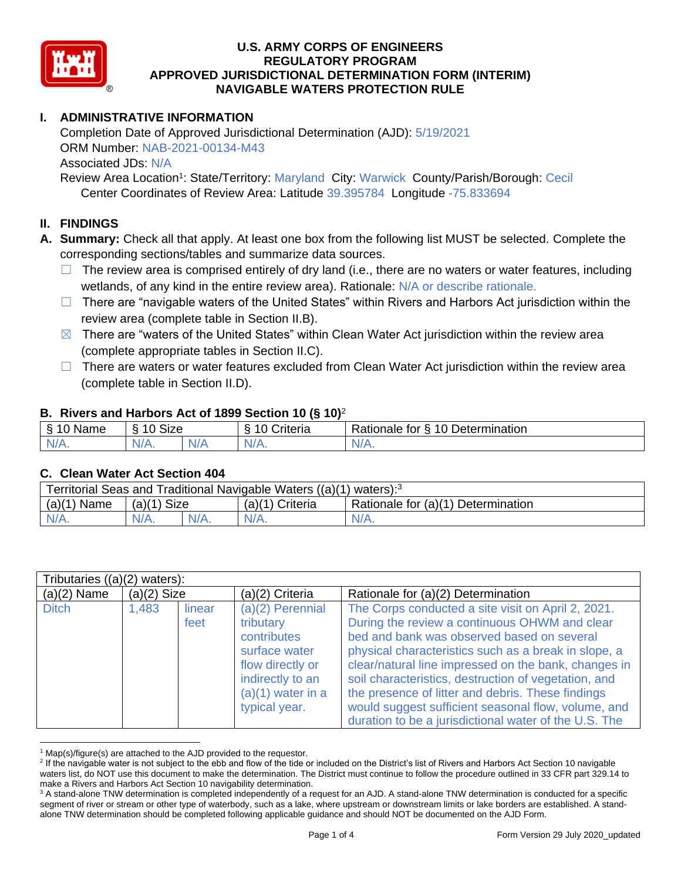

# **I. ADMINISTRATIVE INFORMATION**

Completion Date of Approved Jurisdictional Determination (AJD): 5/19/2021 ORM Number: NAB-2021-00134-M43 Associated JDs: N/A

Review Area Location<sup>1</sup>: State/Territory: Maryland City: Warwick County/Parish/Borough: Cecil Center Coordinates of Review Area: Latitude 39.395784 Longitude -75.833694

#### **II. FINDINGS**

**A. Summary:** Check all that apply. At least one box from the following list MUST be selected. Complete the corresponding sections/tables and summarize data sources.

- $\Box$  The review area is comprised entirely of dry land (i.e., there are no waters or water features, including wetlands, of any kind in the entire review area). Rationale: N/A or describe rationale.
- $\Box$  There are "navigable waters of the United States" within Rivers and Harbors Act jurisdiction within the review area (complete table in Section II.B).
- $\boxtimes$  There are "waters of the United States" within Clean Water Act jurisdiction within the review area (complete appropriate tables in Section II.C).
- □ There are waters or water features excluded from Clean Water Act jurisdiction within the review area (complete table in Section II.D).

#### **B. Rivers and Harbors Act of 1899 Section 10 (§ 10)**<sup>2</sup>

| . -       |                                                 |      |                     |                                           |  |  |  |  |
|-----------|-------------------------------------------------|------|---------------------|-------------------------------------------|--|--|--|--|
| ς<br>Name | <b>Size</b><br>$\overline{A}$<br>$\circ$<br>۱۱. |      | 10<br>.<br>triteria | 10 Determination<br>-<br>Rationale<br>tor |  |  |  |  |
| N/L<br>.  | N/A.                                            | NI / | M                   | 111<br>N/A.                               |  |  |  |  |

#### **C. Clean Water Act Section 404**

| Traditional Navigable Waters ((a)(1)<br>Territorial Seas and<br>vaters): <sup>3</sup> |                       |         |                                                          |       |  |  |  |
|---------------------------------------------------------------------------------------|-----------------------|---------|----------------------------------------------------------|-------|--|--|--|
| (a)(1)<br>Name                                                                        | <b>Size</b><br>(a)(1) |         | Rationale for (a)(1) Determination<br>(a)(1)<br>Criteria |       |  |  |  |
| $N/A$ .                                                                               |                       | $N/A$ . |                                                          | 'V/A. |  |  |  |

| Tributaries $((a)(2)$ waters): |               |                |                                                                                                                                               |                                                                                                                                                                                                                                                                                                                                                                                                                                                                                                |  |  |  |
|--------------------------------|---------------|----------------|-----------------------------------------------------------------------------------------------------------------------------------------------|------------------------------------------------------------------------------------------------------------------------------------------------------------------------------------------------------------------------------------------------------------------------------------------------------------------------------------------------------------------------------------------------------------------------------------------------------------------------------------------------|--|--|--|
| $(a)(2)$ Name                  | $(a)(2)$ Size |                | $(a)(2)$ Criteria                                                                                                                             | Rationale for (a)(2) Determination                                                                                                                                                                                                                                                                                                                                                                                                                                                             |  |  |  |
| <b>Ditch</b>                   | 1,483         | linear<br>feet | (a)(2) Perennial<br>tributary<br>contributes<br>surface water<br>flow directly or<br>indirectly to an<br>$(a)(1)$ water in a<br>typical year. | The Corps conducted a site visit on April 2, 2021.<br>During the review a continuous OHWM and clear<br>bed and bank was observed based on several<br>physical characteristics such as a break in slope, a<br>clear/natural line impressed on the bank, changes in<br>soil characteristics, destruction of vegetation, and<br>the presence of litter and debris. These findings<br>would suggest sufficient seasonal flow, volume, and<br>duration to be a jurisdictional water of the U.S. The |  |  |  |

 $1$  Map(s)/figure(s) are attached to the AJD provided to the requestor.

<sup>&</sup>lt;sup>2</sup> If the navigable water is not subject to the ebb and flow of the tide or included on the District's list of Rivers and Harbors Act Section 10 navigable waters list, do NOT use this document to make the determination. The District must continue to follow the procedure outlined in 33 CFR part 329.14 to make a Rivers and Harbors Act Section 10 navigability determination.

<sup>&</sup>lt;sup>3</sup> A stand-alone TNW determination is completed independently of a request for an AJD. A stand-alone TNW determination is conducted for a specific segment of river or stream or other type of waterbody, such as a lake, where upstream or downstream limits or lake borders are established. A standalone TNW determination should be completed following applicable guidance and should NOT be documented on the AJD Form.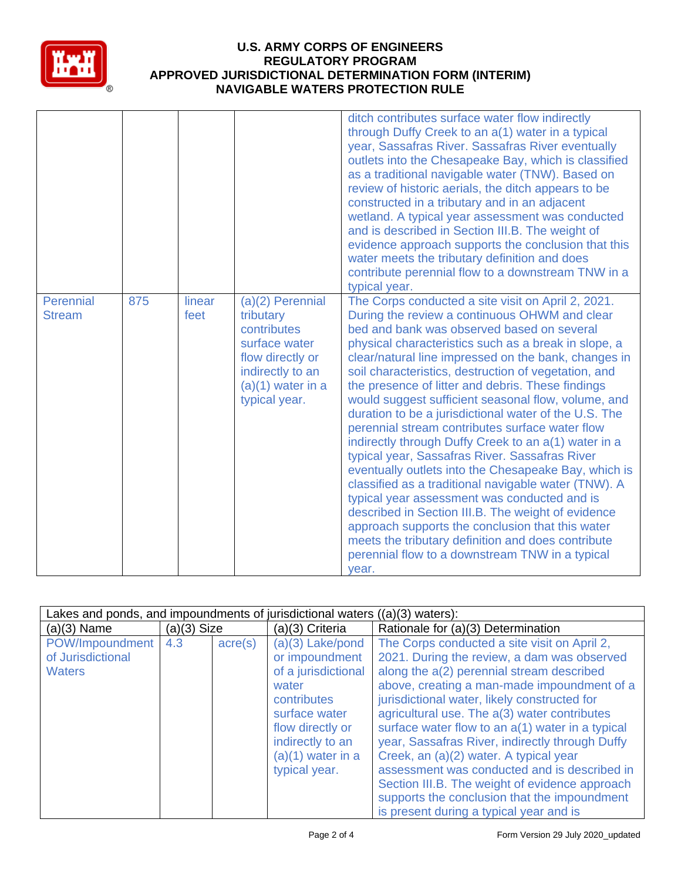

|                            |     |                |                                                                                                                                                 | ditch contributes surface water flow indirectly<br>through Duffy Creek to an a(1) water in a typical<br>year, Sassafras River. Sassafras River eventually<br>outlets into the Chesapeake Bay, which is classified<br>as a traditional navigable water (TNW). Based on<br>review of historic aerials, the ditch appears to be<br>constructed in a tributary and in an adjacent<br>wetland. A typical year assessment was conducted<br>and is described in Section III.B. The weight of<br>evidence approach supports the conclusion that this<br>water meets the tributary definition and does<br>contribute perennial flow to a downstream TNW in a<br>typical year.                                                                                                                                                                                                                                                                                                                                                                                    |
|----------------------------|-----|----------------|-------------------------------------------------------------------------------------------------------------------------------------------------|---------------------------------------------------------------------------------------------------------------------------------------------------------------------------------------------------------------------------------------------------------------------------------------------------------------------------------------------------------------------------------------------------------------------------------------------------------------------------------------------------------------------------------------------------------------------------------------------------------------------------------------------------------------------------------------------------------------------------------------------------------------------------------------------------------------------------------------------------------------------------------------------------------------------------------------------------------------------------------------------------------------------------------------------------------|
| Perennial<br><b>Stream</b> | 875 | linear<br>feet | $(a)(2)$ Perennial<br>tributary<br>contributes<br>surface water<br>flow directly or<br>indirectly to an<br>$(a)(1)$ water in a<br>typical year. | The Corps conducted a site visit on April 2, 2021.<br>During the review a continuous OHWM and clear<br>bed and bank was observed based on several<br>physical characteristics such as a break in slope, a<br>clear/natural line impressed on the bank, changes in<br>soil characteristics, destruction of vegetation, and<br>the presence of litter and debris. These findings<br>would suggest sufficient seasonal flow, volume, and<br>duration to be a jurisdictional water of the U.S. The<br>perennial stream contributes surface water flow<br>indirectly through Duffy Creek to an a(1) water in a<br>typical year, Sassafras River. Sassafras River<br>eventually outlets into the Chesapeake Bay, which is<br>classified as a traditional navigable water (TNW). A<br>typical year assessment was conducted and is<br>described in Section III.B. The weight of evidence<br>approach supports the conclusion that this water<br>meets the tributary definition and does contribute<br>perennial flow to a downstream TNW in a typical<br>year. |

| Lakes and ponds, and impoundments of jurisdictional waters ((a)(3) waters): |             |                  |                                                                                                                                                                                      |                                                                                                                                                                                                                                                                                                                                                                                                                                                                                                                                                                                                                                       |  |  |  |
|-----------------------------------------------------------------------------|-------------|------------------|--------------------------------------------------------------------------------------------------------------------------------------------------------------------------------------|---------------------------------------------------------------------------------------------------------------------------------------------------------------------------------------------------------------------------------------------------------------------------------------------------------------------------------------------------------------------------------------------------------------------------------------------------------------------------------------------------------------------------------------------------------------------------------------------------------------------------------------|--|--|--|
| $(a)(3)$ Name                                                               | (a)(3) Size |                  | $(a)(3)$ Criteria                                                                                                                                                                    | Rationale for (a)(3) Determination                                                                                                                                                                                                                                                                                                                                                                                                                                                                                                                                                                                                    |  |  |  |
| POW/Impoundment<br>of Jurisdictional<br><b>Waters</b>                       | 4.3         | $\text{acre}(s)$ | $(a)(3)$ Lake/pond<br>or impoundment<br>of a jurisdictional<br>water<br>contributes<br>surface water<br>flow directly or<br>indirectly to an<br>$(a)(1)$ water in a<br>typical year. | The Corps conducted a site visit on April 2,<br>2021. During the review, a dam was observed<br>along the a(2) perennial stream described<br>above, creating a man-made impoundment of a<br>jurisdictional water, likely constructed for<br>agricultural use. The a(3) water contributes<br>surface water flow to an a(1) water in a typical<br>year, Sassafras River, indirectly through Duffy<br>Creek, an (a)(2) water. A typical year<br>assessment was conducted and is described in<br>Section III.B. The weight of evidence approach<br>supports the conclusion that the impoundment<br>is present during a typical year and is |  |  |  |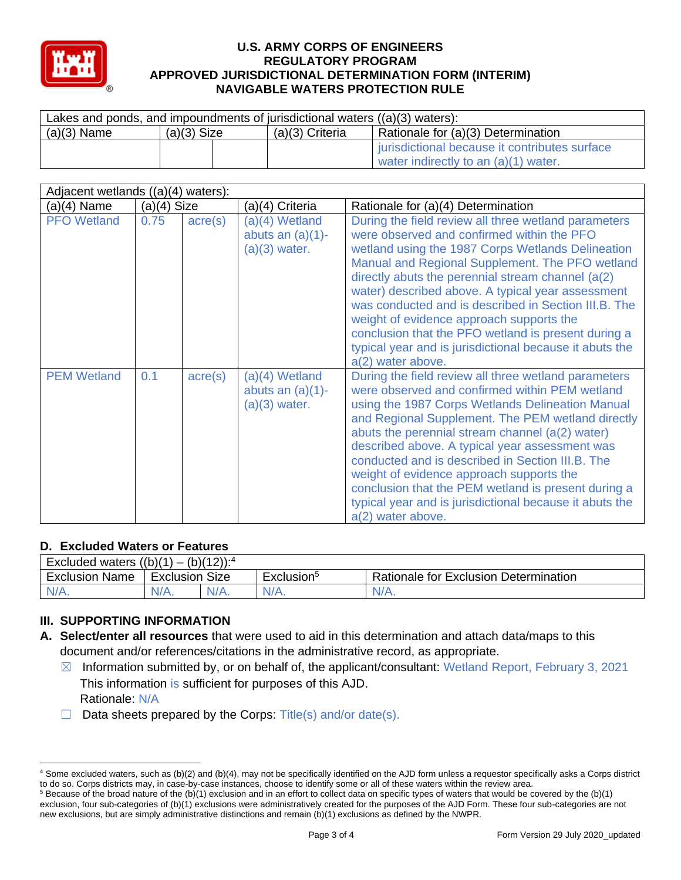

| Lakes and ponds, and impoundments of jurisdictional waters $((a)(3)$ waters): |               |                 |                                                                                       |  |  |  |  |
|-------------------------------------------------------------------------------|---------------|-----------------|---------------------------------------------------------------------------------------|--|--|--|--|
| $(a)(3)$ Name                                                                 | $(a)(3)$ Size | (a)(3) Criteria | Rationale for (a)(3) Determination                                                    |  |  |  |  |
|                                                                               |               |                 | jurisdictional because it contributes surface<br>water indirectly to an (a)(1) water. |  |  |  |  |

| Adjacent wetlands ((a)(4) waters): |               |                  |                                                          |                                                                                                                                                                                                                                                                                                                                                                                                                                                                                                                                                                    |  |  |  |
|------------------------------------|---------------|------------------|----------------------------------------------------------|--------------------------------------------------------------------------------------------------------------------------------------------------------------------------------------------------------------------------------------------------------------------------------------------------------------------------------------------------------------------------------------------------------------------------------------------------------------------------------------------------------------------------------------------------------------------|--|--|--|
| $(a)(4)$ Name                      | $(a)(4)$ Size |                  | (a)(4) Criteria                                          | Rationale for (a)(4) Determination                                                                                                                                                                                                                                                                                                                                                                                                                                                                                                                                 |  |  |  |
| <b>PFO</b> Wetland                 | 0.75          | $\text{acre}(s)$ | (a)(4) Wetland<br>abuts an $(a)(1)$ -<br>$(a)(3)$ water. | During the field review all three wetland parameters<br>were observed and confirmed within the PFO<br>wetland using the 1987 Corps Wetlands Delineation<br>Manual and Regional Supplement. The PFO wetland<br>directly abuts the perennial stream channel $(a(2))$<br>water) described above. A typical year assessment<br>was conducted and is described in Section III.B. The<br>weight of evidence approach supports the<br>conclusion that the PFO wetland is present during a<br>typical year and is jurisdictional because it abuts the<br>a(2) water above. |  |  |  |
| <b>PEM Wetland</b>                 | 0.1           | $\text{acre}(s)$ | (a)(4) Wetland<br>abuts an $(a)(1)$ -<br>$(a)(3)$ water. | During the field review all three wetland parameters<br>were observed and confirmed within PEM wetland<br>using the 1987 Corps Wetlands Delineation Manual<br>and Regional Supplement. The PEM wetland directly<br>abuts the perennial stream channel (a(2) water)<br>described above. A typical year assessment was<br>conducted and is described in Section III.B. The<br>weight of evidence approach supports the<br>conclusion that the PEM wetland is present during a<br>typical year and is jurisdictional because it abuts the<br>a(2) water above.        |  |  |  |

# **D. Excluded Waters or Features**

| $(b)(12))$ : <sup>4</sup><br>Excluded waters $((b)(1))$<br>$\mathbf{r}$ |                   |  |                        |                                              |  |  |
|-------------------------------------------------------------------------|-------------------|--|------------------------|----------------------------------------------|--|--|
| <b>Exclusion Name</b>                                                   | Size<br>Exclusion |  | Exclusion <sup>5</sup> | <b>Rationale for Exclusion Determination</b> |  |  |
| $N/A$ .                                                                 | $N/A$ .           |  |                        | $N/A$ .                                      |  |  |

# **III. SUPPORTING INFORMATION**

- **A. Select/enter all resources** that were used to aid in this determination and attach data/maps to this document and/or references/citations in the administrative record, as appropriate.
	- ☒ Information submitted by, or on behalf of, the applicant/consultant: Wetland Report, February 3, 2021 This information is sufficient for purposes of this AJD. Rationale: N/A
	- $\Box$  Data sheets prepared by the Corps: Title(s) and/or date(s).

<sup>4</sup> Some excluded waters, such as (b)(2) and (b)(4), may not be specifically identified on the AJD form unless a requestor specifically asks a Corps district to do so. Corps districts may, in case-by-case instances, choose to identify some or all of these waters within the review area.

 $5$  Because of the broad nature of the (b)(1) exclusion and in an effort to collect data on specific types of waters that would be covered by the (b)(1) exclusion, four sub-categories of (b)(1) exclusions were administratively created for the purposes of the AJD Form. These four sub-categories are not new exclusions, but are simply administrative distinctions and remain (b)(1) exclusions as defined by the NWPR.